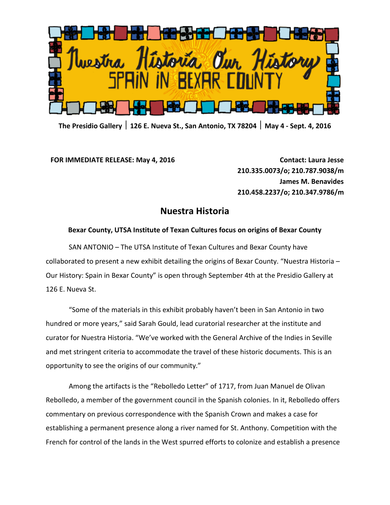

**The Presidio Gallery 126 E. Nueva St., San Antonio, TX 78204 May 4 - Sept. 4, 2016**

**FOR IMMEDIATE RELEASE: May 4, 2016 Contact: Laura Jesse**

**210.335.0073/o; 210.787.9038/m James M. Benavides 210.458.2237/o; 210.347.9786/m**

## **Nuestra Historia**

## **Bexar County, UTSA Institute of Texan Cultures focus on origins of Bexar County**

SAN ANTONIO – The UTSA Institute of Texan Cultures and Bexar County have collaborated to present a new exhibit detailing the origins of Bexar County. "Nuestra Historia – Our History: Spain in Bexar County" is open through September 4th at the Presidio Gallery at 126 E. Nueva St.

"Some of the materials in this exhibit probably haven't been in San Antonio in two hundred or more years," said Sarah Gould, lead curatorial researcher at the institute and curator for Nuestra Historia. "We've worked with the General Archive of the Indies in Seville and met stringent criteria to accommodate the travel of these historic documents. This is an opportunity to see the origins of our community."

Among the artifacts is the "Rebolledo Letter" of 1717, from Juan Manuel de Olivan Rebolledo, a member of the government council in the Spanish colonies. In it, Rebolledo offers commentary on previous correspondence with the Spanish Crown and makes a case for establishing a permanent presence along a river named for St. Anthony. Competition with the French for control of the lands in the West spurred efforts to colonize and establish a presence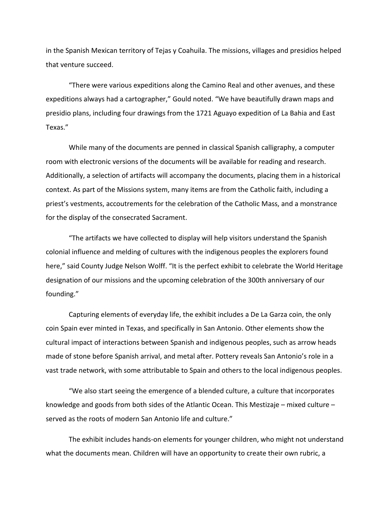in the Spanish Mexican territory of Tejas y Coahuila. The missions, villages and presidios helped that venture succeed.

"There were various expeditions along the Camino Real and other avenues, and these expeditions always had a cartographer," Gould noted. "We have beautifully drawn maps and presidio plans, including four drawings from the 1721 Aguayo expedition of La Bahia and East Texas."

While many of the documents are penned in classical Spanish calligraphy, a computer room with electronic versions of the documents will be available for reading and research. Additionally, a selection of artifacts will accompany the documents, placing them in a historical context. As part of the Missions system, many items are from the Catholic faith, including a priest's vestments, accoutrements for the celebration of the Catholic Mass, and a monstrance for the display of the consecrated Sacrament.

"The artifacts we have collected to display will help visitors understand the Spanish colonial influence and melding of cultures with the indigenous peoples the explorers found here," said County Judge Nelson Wolff. "It is the perfect exhibit to celebrate the World Heritage designation of our missions and the upcoming celebration of the 300th anniversary of our founding."

Capturing elements of everyday life, the exhibit includes a De La Garza coin, the only coin Spain ever minted in Texas, and specifically in San Antonio. Other elements show the cultural impact of interactions between Spanish and indigenous peoples, such as arrow heads made of stone before Spanish arrival, and metal after. Pottery reveals San Antonio's role in a vast trade network, with some attributable to Spain and others to the local indigenous peoples.

"We also start seeing the emergence of a blended culture, a culture that incorporates knowledge and goods from both sides of the Atlantic Ocean. This Mestizaje – mixed culture – served as the roots of modern San Antonio life and culture."

The exhibit includes hands-on elements for younger children, who might not understand what the documents mean. Children will have an opportunity to create their own rubric, a